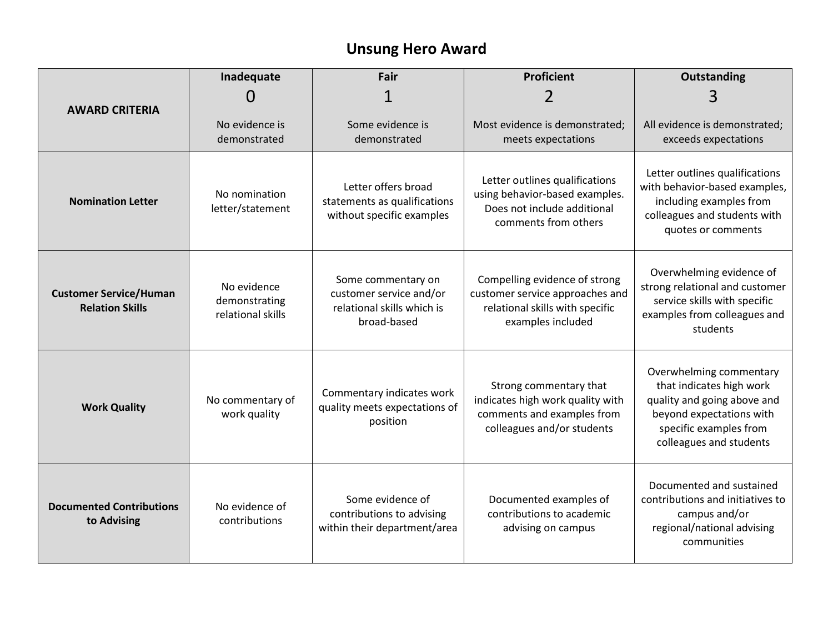## **Unsung Hero Award**

| <b>AWARD CRITERIA</b>                                   | Inadequate                                        | Fair                                                                                       | <b>Proficient</b>                                                                                                        | Outstanding                                                                                                                                                         |
|---------------------------------------------------------|---------------------------------------------------|--------------------------------------------------------------------------------------------|--------------------------------------------------------------------------------------------------------------------------|---------------------------------------------------------------------------------------------------------------------------------------------------------------------|
|                                                         | $\mathbf{\Omega}$                                 |                                                                                            |                                                                                                                          | 3                                                                                                                                                                   |
|                                                         | No evidence is<br>demonstrated                    | Some evidence is<br>demonstrated                                                           | Most evidence is demonstrated;<br>meets expectations                                                                     | All evidence is demonstrated;<br>exceeds expectations                                                                                                               |
| <b>Nomination Letter</b>                                | No nomination<br>letter/statement                 | Letter offers broad<br>statements as qualifications<br>without specific examples           | Letter outlines qualifications<br>using behavior-based examples.<br>Does not include additional<br>comments from others  | Letter outlines qualifications<br>with behavior-based examples,<br>including examples from<br>colleagues and students with<br>quotes or comments                    |
| <b>Customer Service/Human</b><br><b>Relation Skills</b> | No evidence<br>demonstrating<br>relational skills | Some commentary on<br>customer service and/or<br>relational skills which is<br>broad-based | Compelling evidence of strong<br>customer service approaches and<br>relational skills with specific<br>examples included | Overwhelming evidence of<br>strong relational and customer<br>service skills with specific<br>examples from colleagues and<br>students                              |
| <b>Work Quality</b>                                     | No commentary of<br>work quality                  | Commentary indicates work<br>quality meets expectations of<br>position                     | Strong commentary that<br>indicates high work quality with<br>comments and examples from<br>colleagues and/or students   | Overwhelming commentary<br>that indicates high work<br>quality and going above and<br>beyond expectations with<br>specific examples from<br>colleagues and students |
| <b>Documented Contributions</b><br>to Advising          | No evidence of<br>contributions                   | Some evidence of<br>contributions to advising<br>within their department/area              | Documented examples of<br>contributions to academic<br>advising on campus                                                | Documented and sustained<br>contributions and initiatives to<br>campus and/or<br>regional/national advising<br>communities                                          |